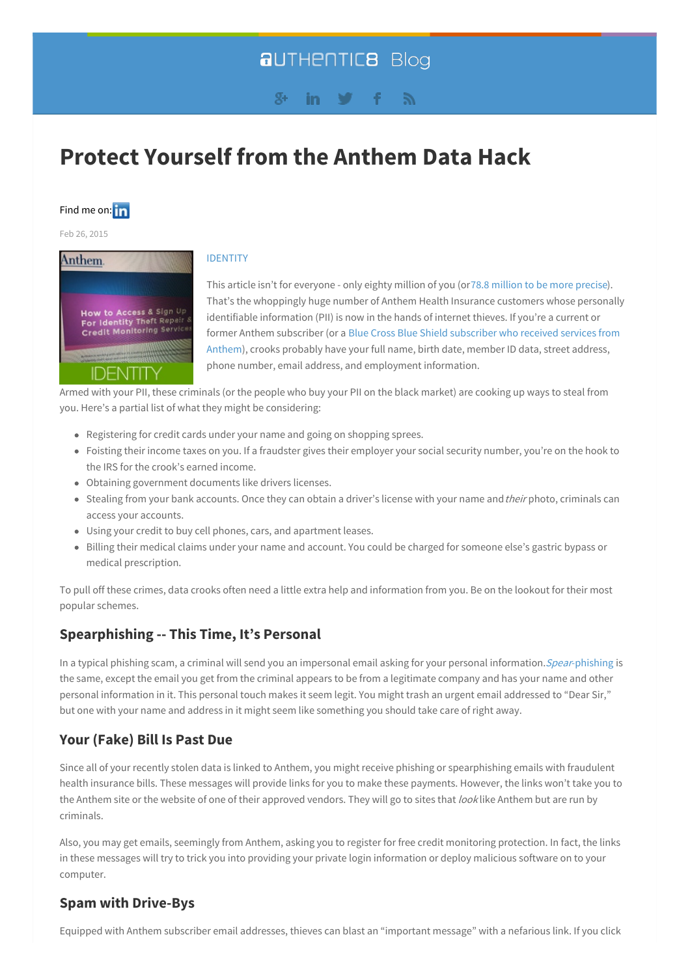# **aUTHENTICB Blog**

#### $S_{\pm}$ in. Г.

# **Protect [Yourself](#page-1-0) from the Anthem Data Hack**



Feb 26, 2015



#### [IDENTITY](blog/topic/identity)

This article isn't for everyone - only eighty million of you (or78.8 [million](http://www.computerworld.com/article/2888267/anthems-now-says-788m-were-affected-by-breach.html) to be more precise). That's the whoppingly huge number of Anthem Health Insurance customers whose personally identifiable information (PII) is now in the hands of internet thieves. If you're a current or former Anthem [subscriber](http://www.reuters.com/article/2015/02/24/us-anthem-cybersecurity-idUSKBN0LS2CS20150224) (or a Blue Cross Blue Shield subscriber who received services from Anthem), crooks probably have your full name, birth date, member ID data, street address, phone number, email address, and employment information.

Armed with your PII, these criminals (or the people who buy your PII on the black market) are cooking up ways to steal from you. Here's a partial list of what they might be considering:

- Registering for credit cards under your name and going on shopping sprees.
- Foisting their income taxes on you. If a fraudster gives their employer your social security number, you're on the hook to the IRS for the crook's earned income.
- Obtaining government documents like drivers licenses.
- Stealing from your bank accounts. Once they can obtain a driver's license with your name and their photo, criminals can access your accounts.
- Using your credit to buy cell phones, cars, and apartment leases.
- Billing their medical claims under your name and account. You could be charged for someone else's gastric bypass or medical prescription.

To pull off these crimes, data crooks often need a little extra help and information from you. Be on the lookout for their most popular schemes.

# **Spearphishing -- This Time, It's Personal**

In a typical phishing scam, a criminal will send you an impersonal email asking for your personal information. Spear[-phishing](http://searchsecurity.techtarget.com/definition/spear-phishing) is the same, except the email you get from the criminal appears to be from a legitimate company and has your name and other personal information in it. This personal touch makes it seem legit. You might trash an urgent email addressed to "Dear Sir," but one with your name and address in it might seem like something you should take care of right away.

# **Your (Fake) Bill Is Past Due**

Since all of your recently stolen data is linked to Anthem, you might receive phishing or spearphishing emails with fraudulent health insurance bills. These messages will provide links for you to make these payments. However, the links won't take you to the Anthem site or the website of one of their approved vendors. They will go to sites that look like Anthem but are run by criminals.

Also, you may get emails, seemingly from Anthem, asking you to register for free credit monitoring protection. In fact, the links in these messages will try to trick you into providing your private login information or deploy malicious software on to your computer.

# **Spam with Drive-Bys**

Equipped with Anthem subscriber email addresses, thieves can blast an "important message" with a nefarious link. If you click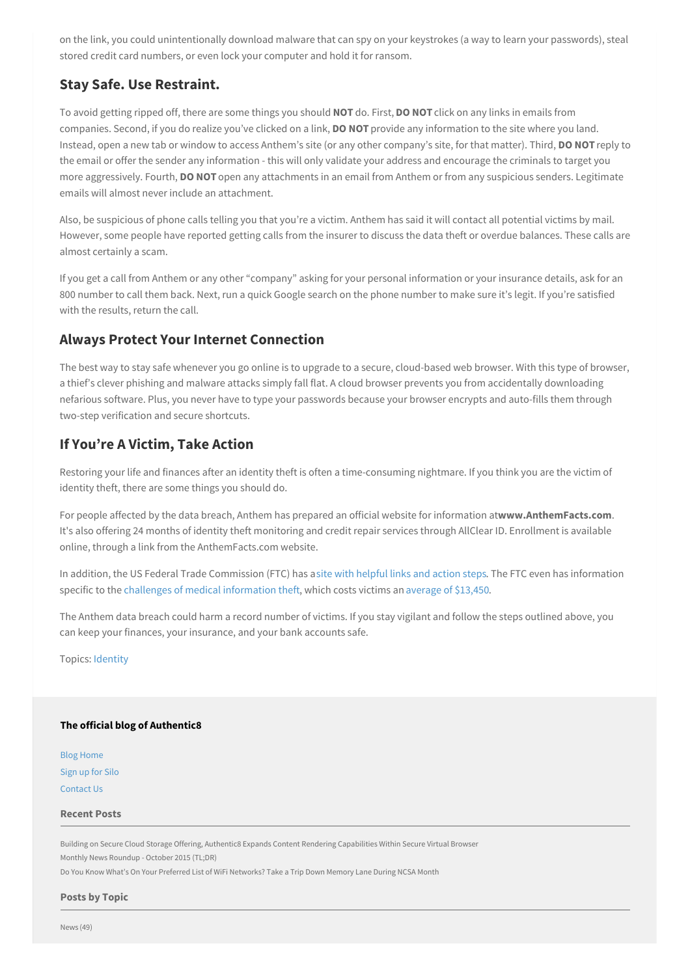<span id="page-1-0"></span>on the link, you could unintentionally download malware that can spy on your keystrokes (a way to learn your passwords), steal stored credit card numbers, or even lock your computer and hold it for ransom.

# **Stay Safe. Use Restraint.**

To avoid getting ripped off, there are some things you should **NOT** do. First, **DO NOT** click on any links in emails from companies. Second, if you do realize you've clicked on a link, **DO NOT** provide any information to the site where you land. Instead, open a new tab or window to access Anthem's site (or any other company's site, for that matter). Third, **DO NOT** reply to the email or offer the sender any information - this will only validate your address and encourage the criminals to target you more aggressively. Fourth, **DO NOT** open any attachments in an email from Anthem or from any suspicious senders. Legitimate emails will almost never include an attachment.

Also, be suspicious of phone calls telling you that you're a victim. Anthem has said it will contact all potential victims by mail. However, some people have reported getting calls from the insurer to discuss the data theft or overdue balances. These calls are almost certainly a scam.

If you get a call from Anthem or any other "company" asking for your personal information or your insurance details, ask for an 800 number to call them back. Next, run a quick Google search on the phone number to make sure it's legit. If you're satisfied with the results, return the call.

# **Always Protect Your Internet Connection**

The best way to stay safe whenever you go online is to upgrade to a secure, cloud-based web browser. With this type of browser, a thief's clever phishing and malware attacks simply fall flat. A cloud browser prevents you from accidentally downloading nefarious software. Plus, you never have to type your passwords because your browser encrypts and auto-fills them through two-step verification and secure shortcuts.

# **If You're A Victim, Take Action**

Restoring your life and finances after an identity theft is often a time-consuming nightmare. If you think you are the victim of identity theft, there are some things you should do.

For people affected by the data breach, Anthem has prepared an official website for information at**www.AnthemFacts.com**. It's also offering 24 months of identity theft monitoring and credit repair services through AllClear ID. Enrollment is available online, through a link from the AnthemFacts.com website.

In addition, the US Federal Trade Commission (FTC) has asite with [helpful](http://www.consumer.ftc.gov/features/feature-0014-identity-theft) links and action steps. The FTC even has information specific to the challenges of medical [information](http://www.consumer.ftc.gov/articles/0171-medical-identity-theft) theft, which costs victims an [average](http://www.darkreading.com/medical-identity-theft-costs-victims-$13450-apiece/d/d-id/1319210) of \$13,450.

The Anthem data breach could harm a record number of victims. If you stay vigilant and follow the steps outlined above, you can keep your finances, your insurance, and your bank accounts safe.

Topics: [Identity](http://go.authentic8.com/blog/topic/identity)

#### **The official blog of Authentic8**

Blog [Home](http://go.authentic8.com/blog) [Sign](https://www.authentic8.com/signup) up for Silo [Contact](https://www.authentic8.com/company/contact-us/) Us

#### **Recent Posts**

Building on Secure Cloud Storage Offering, Authentic8 Expands Content Rendering [Capabilities](http://go.authentic8.com/blog/building-on-secure-cloud-storage-offering-authentic8-expands-content-rendering-capabilities-within-secure-virtual-browser) Within Secure Virtual Browser Monthly News [Roundup](http://go.authentic8.com/blog/monthly-news-roundup-october-2015) - October 2015 (TL;DR)

Do You Know What's On Your Preferred List of WiFi [Networks?](http://go.authentic8.com/blog/do-you-know-whats-on-your-preferred-list-of-wifi-networks) Take a Trip Down Memory Lane During NCSA Month

#### **Posts by Topic**